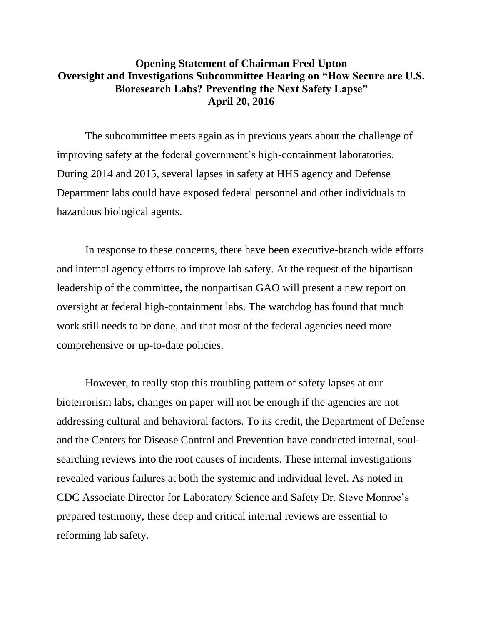## **Opening Statement of Chairman Fred Upton Oversight and Investigations Subcommittee Hearing on "How Secure are U.S. Bioresearch Labs? Preventing the Next Safety Lapse" April 20, 2016**

The subcommittee meets again as in previous years about the challenge of improving safety at the federal government's high-containment laboratories. During 2014 and 2015, several lapses in safety at HHS agency and Defense Department labs could have exposed federal personnel and other individuals to hazardous biological agents.

In response to these concerns, there have been executive-branch wide efforts and internal agency efforts to improve lab safety. At the request of the bipartisan leadership of the committee, the nonpartisan GAO will present a new report on oversight at federal high-containment labs. The watchdog has found that much work still needs to be done, and that most of the federal agencies need more comprehensive or up-to-date policies.

However, to really stop this troubling pattern of safety lapses at our bioterrorism labs, changes on paper will not be enough if the agencies are not addressing cultural and behavioral factors. To its credit, the Department of Defense and the Centers for Disease Control and Prevention have conducted internal, soulsearching reviews into the root causes of incidents. These internal investigations revealed various failures at both the systemic and individual level. As noted in CDC Associate Director for Laboratory Science and Safety Dr. Steve Monroe's prepared testimony, these deep and critical internal reviews are essential to reforming lab safety.